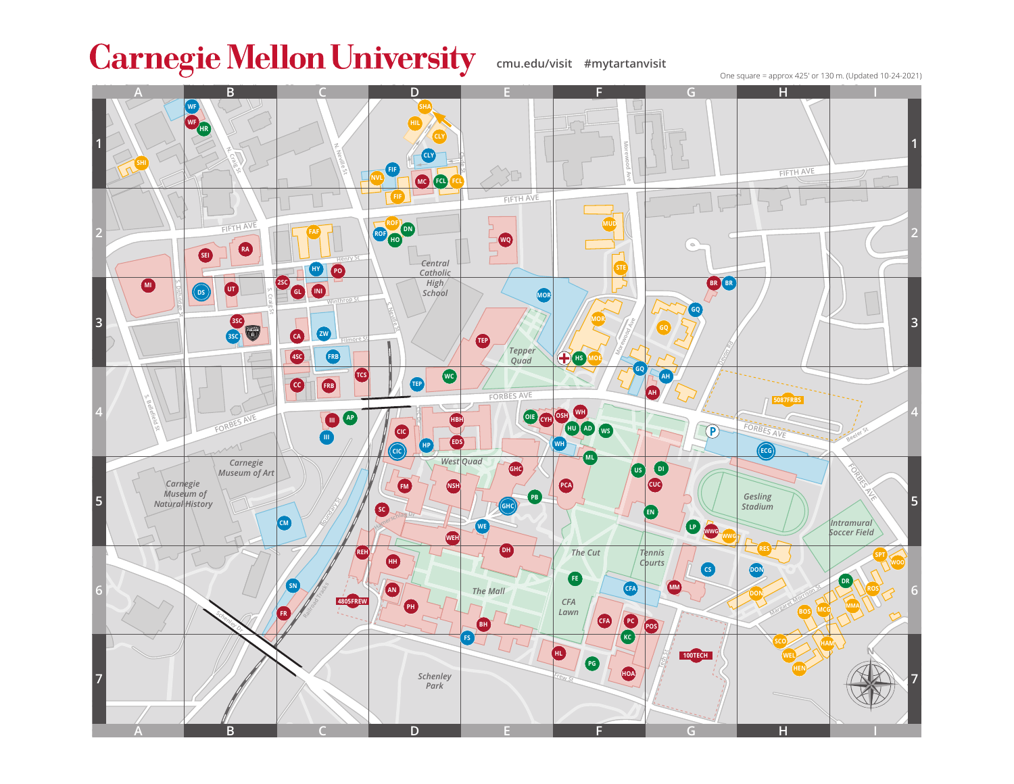## **Carnegie Mellon University**

**cmu.edu/visit #mytartanvisit**

One square = approx 425' or 130 m. (Updated 10-24-2021)